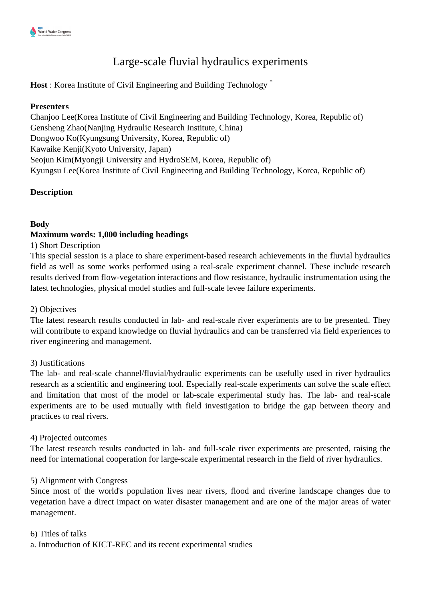# Large-scale fluvial hydraulics experiments

**Host** : Korea Institute of Civil Engineering and Building Technology \*

## **Presenters**

Chanjoo Lee(Korea Institute of Civil Engineering and Building Technology, Korea, Republic of) Gensheng Zhao(Nanjing Hydraulic Research Institute, China) Dongwoo Ko(Kyungsung University, Korea, Republic of) Kawaike Kenji(Kyoto University, Japan) Seojun Kim(Myongji University and HydroSEM, Korea, Republic of) Kyungsu Lee(Korea Institute of Civil Engineering and Building Technology, Korea, Republic of)

# **Description**

# **Body**

## **Maximum words: 1,000 including headings**

### 1) Short Description

This special session is a place to share experiment-based research achievements in the fluvial hydraulics field as well as some works performed using a real-scale experiment channel. These include research results derived from flow-vegetation interactions and flow resistance, hydraulic instrumentation using the latest technologies, physical model studies and full-scale levee failure experiments.

#### 2) Objectives

The latest research results conducted in lab- and real-scale river experiments are to be presented. They will contribute to expand knowledge on fluvial hydraulics and can be transferred via field experiences to river engineering and management.

#### 3) Justifications

The lab- and real-scale channel/fluvial/hydraulic experiments can be usefully used in river hydraulics research as a scientific and engineering tool. Especially real-scale experiments can solve the scale effect and limitation that most of the model or lab-scale experimental study has. The lab- and real-scale experiments are to be used mutually with field investigation to bridge the gap between theory and practices to real rivers.

#### 4) Projected outcomes

The latest research results conducted in lab- and full-scale river experiments are presented, raising the need for international cooperation for large-scale experimental research in the field of river hydraulics.

#### 5) Alignment with Congress

Since most of the world's population lives near rivers, flood and riverine landscape changes due to vegetation have a direct impact on water disaster management and are one of the major areas of water management.

#### 6) Titles of talks

a. Introduction of KICT-REC and its recent experimental studies